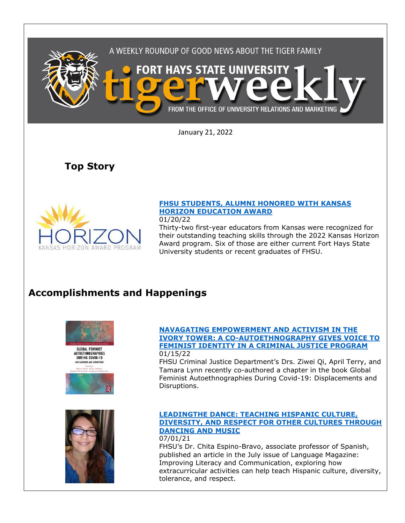

January 21, 2022

**Top Story**



### **[FHSU STUDENTS, ALUMNI HONORED WITH KANSAS](https://www.fhsu.edu/news/2022/01/fhsu-students,-alumni-honored-with-kansas-horizon-education-award)  [HORIZON EDUCATION AWARD](https://www.fhsu.edu/news/2022/01/fhsu-students,-alumni-honored-with-kansas-horizon-education-award)**

01/20/22

Thirty-two first-year educators from Kansas were recognized for their outstanding teaching skills through the 2022 Kansas Horizon Award program. Six of those are either current Fort Hays State University students or recent graduates of FHSU.

# **Accomplishments and Happenings**







FHSU Criminal Justice Department's Drs. Ziwei Qi, April Terry, and Tamara Lynn recently co-authored a chapter in the book Global Feminist Autoethnographies During Covid-19: Displacements and Disruptions.



#### **[LEADINGTHE DANCE: TEACHING HISPANIC CULTURE,](https://www.languagemagazine.com/2021/07/26/leading-the-dance-2/)  [DIVERSITY, AND RESPECT FOR OTHER CULTURES THROUGH](https://www.languagemagazine.com/2021/07/26/leading-the-dance-2/)  [DANCING AND MUSIC](https://www.languagemagazine.com/2021/07/26/leading-the-dance-2/)**

07/01/21 FHSU's Dr. Chita Espino-Bravo, associate professor of Spanish, published an article in the July issue of Language Magazine: Improving Literacy and Communication, exploring how extracurricular activities can help teach Hispanic culture, diversity, tolerance, and respect.